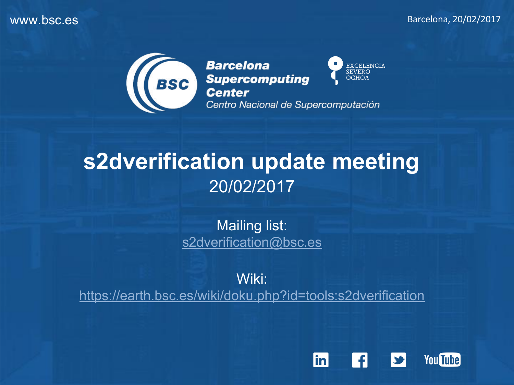

EXCELENCIA<br>SEVERO **Barcelona BSC** Supercomputing **OCHOA** Centro Nacional de Supercomputación

## **s2dverification update meeting** 20/02/2017

Mailing list: [s2dverification@bsc.es](mailto:s2dverification@bsc.es)

Wiki: <https://earth.bsc.es/wiki/doku.php?id=tools:s2dverification>

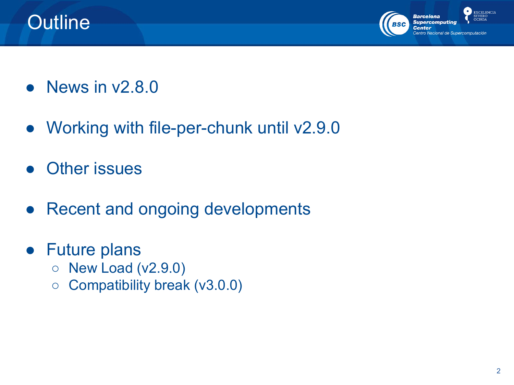



- $\bullet$  News in  $v2.8.0$
- Working with file-per-chunk until v2.9.0
- Other issues
- **Recent and ongoing developments**
- Future plans
	- **New Load (v2.9.0)**
	- Compatibility break (v3.0.0)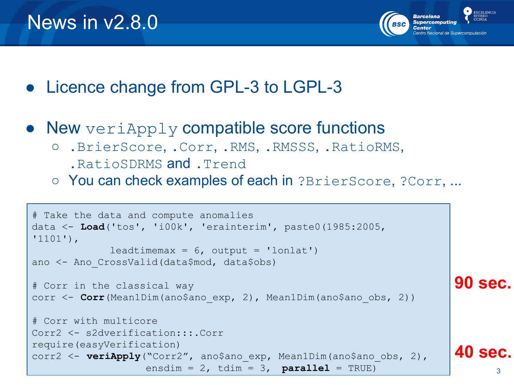

- Licence change from GPL-3 to LGPL-3
- New  $\text{veriApply}$  compatible score functions
	- .BrierScore, .Corr, .RMS, .RMSSS, .RatioRMS,
		- .RatioSDRMS and .Trend
	- You can check examples of each in ?BrierScore, ?Corr, ...

```
3
# Take the data and compute anomalies
data <- Load('tos', 'i00k', 'erainterim', paste0(1985:2005, 
'1101'),
             leadtimemax = 6, output = 'lonlat')
ano <- Ano_CrossValid(data$mod, data$obs)
# Corr in the classical way
corr <- Corr(Mean1Dim(ano$ano_exp, 2), Mean1Dim(ano$ano_obs, 2))
# Corr with multicore
Corr2 <- s2dverification:::.Corr
require(easyVerification)
corr2 <- veriApply("Corr2", ano$ano exp, Mean1Dim(ano$ano obs, 2),
                   ensdim = 2, tdim = 3, parallel = TRUE)
                                                                       90 sec.
                                                                       40 sec.
```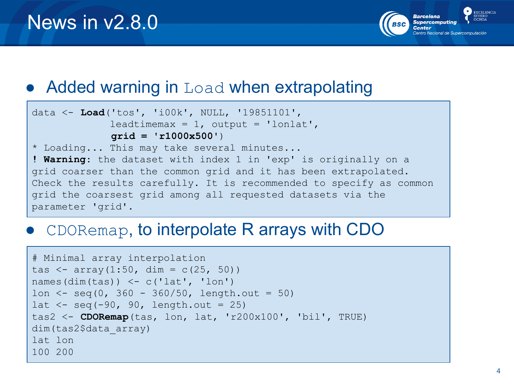

#### $\bullet$  Added warning in Load when extrapolating

```
data <- Load('tos', 'i00k', NULL, '19851101', 
             leadtimemax = 1, output = 'lonlat',
              grid = 'r1000x500')
* Loading... This may take several minutes...
! Warning: the dataset with index 1 in 'exp' is originally on a 
grid coarser than the common grid and it has been extrapolated. 
Check the results carefully. It is recommended to specify as common 
grid the coarsest grid among all requested datasets via the 
parameter 'grid'.
```
#### $\bullet$  CDORemap, to interpolate R arrays with CDO

```
# Minimal array interpolation
tas \leq array(1:50, dim = c(25, 50))
names(dim(tas)) \leq c('lat', 'lon')
lon \le seq(0, 360 - 360/50, length.out = 50)
lat \leq seq(-90, 90, length.out = 25)
tas2 <- CDORemap(tas, lon, lat, 'r200x100', 'bil', TRUE)
dim(tas2$data_array)
lat lon
100 200
```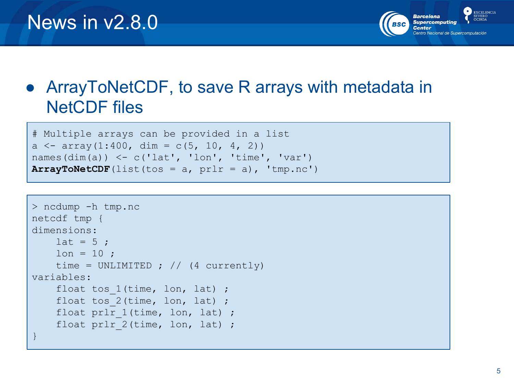

### • ArrayToNetCDF, to save R arrays with metadata in NetCDF files

```
# Multiple arrays can be provided in a list
a \le - array(1:400, dim = c(5, 10, 4, 2))
names(dim(a)) \leq c('lat', 'lon', 'time', 'var')
ArrayToNetCDF(list(tos = a, prl = a), 'tmp.nc')
```

```
> ncdump -h tmp.nc
netcdf tmp {
dimensions:
    lat = 5 ;
    lon = 10 ;
    time = UNLIMITED ; // (4 currently)
variables:
    float tos 1(time, lon, lat) ;
    float tos 2(time, lon, lat) ;
    float prlr 1(time, lon, lat) ;
    float prlr 2(time, lon, lat) ;
}
```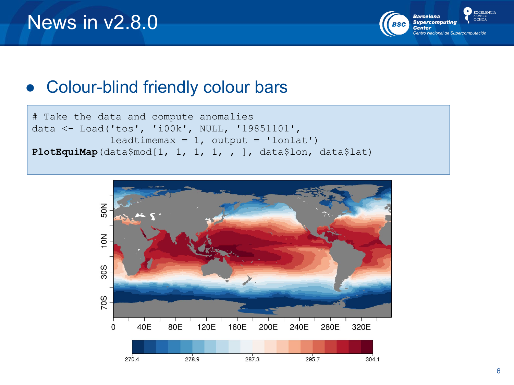

### ● Colour-blind friendly colour bars

```
# Take the data and compute anomalies
data <- Load('tos', 'i00k', NULL, '19851101', 
             leadtimemax = 1, output = 'lonlat')
PlotEquiMap(data$mod[1, 1, 1, 1, , ], data$lon, data$lat)
```
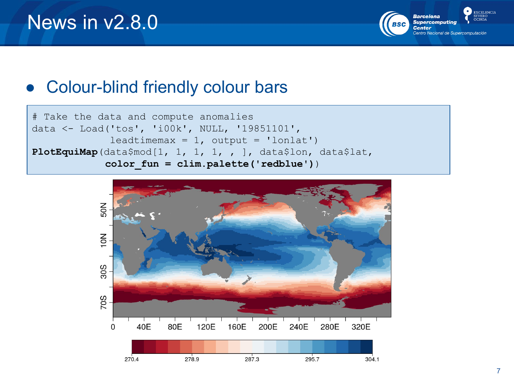

### ● Colour-blind friendly colour bars



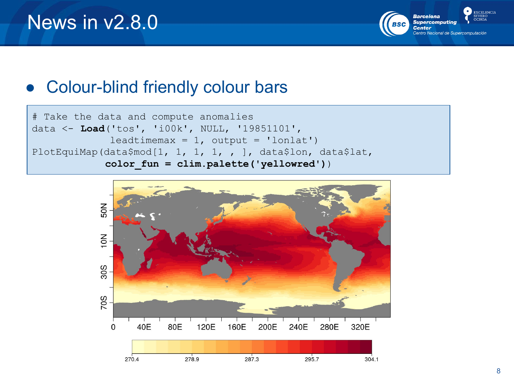

### ● Colour-blind friendly colour bars



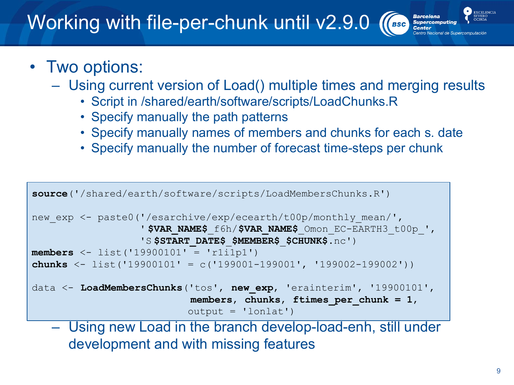## Working with file-per-chunk until v2.9.0

### • Two options:

- Using current version of Load() multiple times and merging results
	- Script in /shared/earth/software/scripts/LoadChunks.R
	- Specify manually the path patterns
	- Specify manually names of members and chunks for each s. date
	- Specify manually the number of forecast time-steps per chunk

```
source('/shared/earth/software/scripts/LoadMembersChunks.R')
new exp <- paste0('/esarchive/exp/ecearth/t00p/monthly mean/',
                   ' $VAR_NAME$_f6h/$VAR_NAME$_Omon_EC-EARTH3_t00p_',
                   'S $START_DATE$_$MEMBER$_$CHUNK$.nc')
members <- list('19900101' = 'r1i1p1')
chunks <- list('19900101' = c('199001-199001', '199002-199002'))
data <- LoadMembersChunks('tos', new_exp, 'erainterim', '19900101',
                            members, chunks, ftimes_per_chunk = 1, 
                           output = 'lonlat')
```
– Using new Load in the branch develop-load-enh, still under development and with missing features

**EXCELENCIA** 

**Barcelona BSC** Supercomputin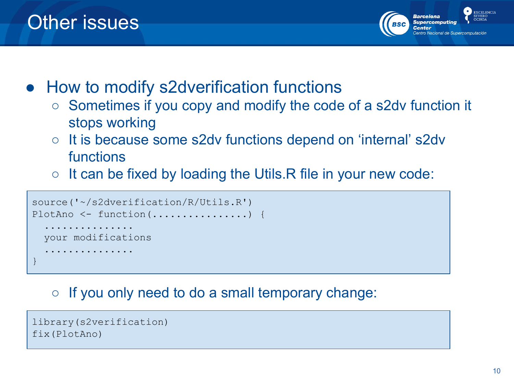

● How to modify s2dverification functions

- Sometimes if you copy and modify the code of a s2dv function it stops working
- It is because some s2dv functions depend on 'internal' s2dv functions
- $\circ$  It can be fixed by loading the Utils. R file in your new code:

```
source('~/s2dverification/R/Utils.R')
PlotAno <- function(.................) {
   ...............
  your modifications
 ...............
}
```
#### $\circ$  If you only need to do a small temporary change:

```
library(s2verification)
fix(PlotAno)
```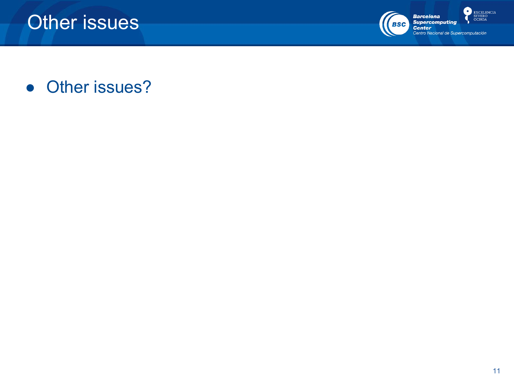

 $\bullet$ **EXCELENCIA** SEVERO<br>OCHOA

• Other issues?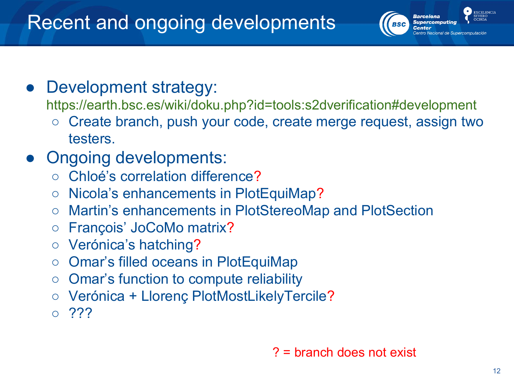

Development strategy:

https://earth.bsc.es/wiki/doku.php?id=tools:s2dverification#development

- Create branch, push your code, create merge request, assign two testers.
- Ongoing developments:
	- Chloé's correlation difference?
	- Nicola's enhancements in PlotEquiMap?
	- Martin's enhancements in PlotStereoMap and PlotSection
	- François' JoCoMo matrix?
	- Verónica's hatching?
	- Omar's filled oceans in PlotEquiMap
	- Omar's function to compute reliability
	- Verónica + Llorenç PlotMostLikelyTercile?
	- $\circ$  ???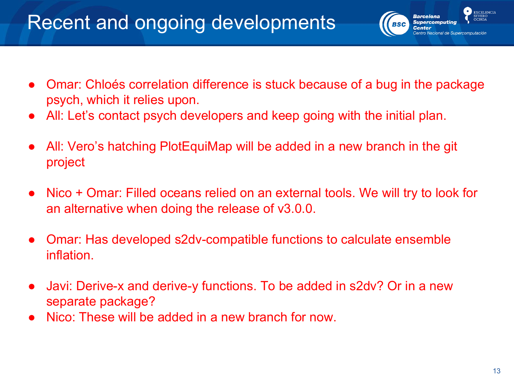### Recent and ongoing developments

- Omar: Chloés correlation difference is stuck because of a bug in the package psych, which it relies upon.
- All: Let's contact psych developers and keep going with the initial plan.
- All: Vero's hatching PlotEquiMap will be added in a new branch in the git project
- Nico + Omar: Filled oceans relied on an external tools. We will try to look for an alternative when doing the release of v3.0.0.
- Omar: Has developed s2dv-compatible functions to calculate ensemble inflation.
- Javi: Derive-x and derive-y functions. To be added in s2dv? Or in a new separate package?
- Nico: These will be added in a new branch for now.

**EXCELENCIA** 

**Barcelona Supercomputing** 

Center

**BSC**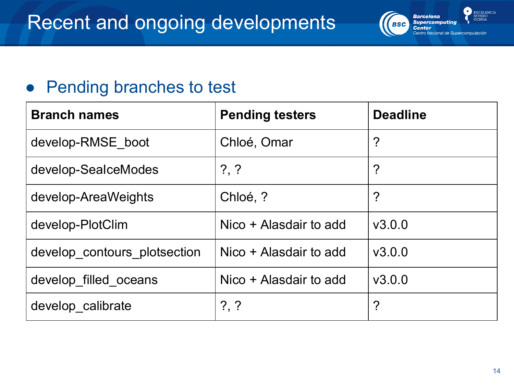#### **EXCELENCIA Barcelona EVERO**<br>OCHOA **Supercomputing BSC Center** Centro Nacional de Si

### ● Pending branches to test

| <b>Branch names</b>          | <b>Pending testers</b> | <b>Deadline</b> |
|------------------------------|------------------------|-----------------|
| develop-RMSE boot            | Chloé, Omar            | ?               |
| develop-SealceModes          | $? \, ?$               | ?               |
| develop-AreaWeights          | Chloé, ?               | ?               |
| develop-PlotClim             | Nico + Alasdair to add | V3.0.0          |
| develop_contours_plotsection | Nico + Alasdair to add | V3.0.0          |
| develop_filled_oceans        | Nico + Alasdair to add | V3.0.0          |
| develop calibrate            | ? , ?                  | ?               |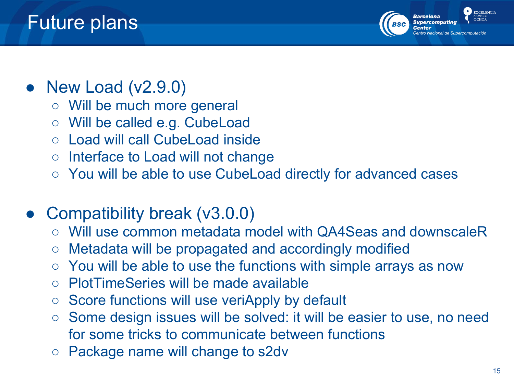

#### EXCELENCIA

### New Load  $(v2.9.0)$

- Will be much more general
- Will be called e.g. CubeLoad
- Load will call CubeLoad inside
- Interface to Load will not change
- You will be able to use CubeLoad directly for advanced cases

### ● Compatibility break (v3.0.0)

- Will use common metadata model with QA4Seas and downscaleR
- Metadata will be propagated and accordingly modified
- You will be able to use the functions with simple arrays as now
- PlotTimeSeries will be made available
- Score functions will use veriApply by default
- Some design issues will be solved: it will be easier to use, no need for some tricks to communicate between functions
- Package name will change to s2dv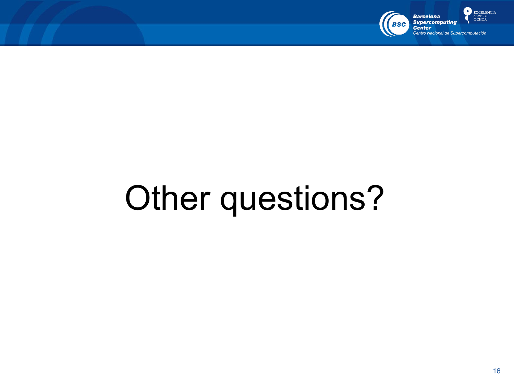

 $\bullet$ **EXCELENCIA** SEVERO<br>OCHOA

# Other questions?